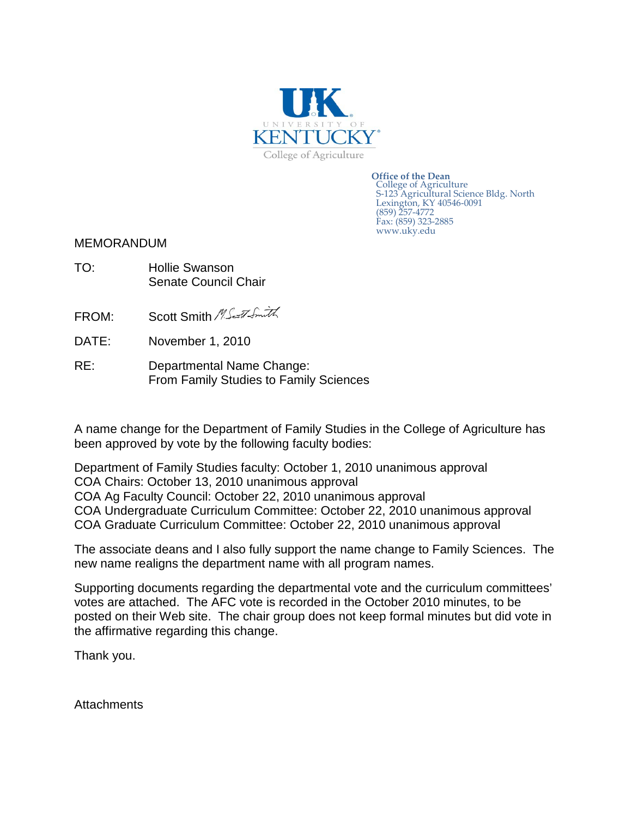

**Office of the Dean** College of Agriculture S-123 Agricultural Science Bldg. North Lexington, KY 40546-0091 (859) 257-4772 Fax: (859) 323-2885 www.uky.edu

## MEMORANDUM

- TO: Hollie Swanson Senate Council Chair
- FROM: Scott Smith MS and Smith
- DATE: November 1, 2010
- RE: Departmental Name Change: From Family Studies to Family Sciences

A name change for the Department of Family Studies in the College of Agriculture has been approved by vote by the following faculty bodies:

Department of Family Studies faculty: October 1, 2010 unanimous approval COA Chairs: October 13, 2010 unanimous approval COA Ag Faculty Council: October 22, 2010 unanimous approval COA Undergraduate Curriculum Committee: October 22, 2010 unanimous approval COA Graduate Curriculum Committee: October 22, 2010 unanimous approval

The associate deans and I also fully support the name change to Family Sciences. The new name realigns the department name with all program names.

Supporting documents regarding the departmental vote and the curriculum committees' votes are attached. The AFC vote is recorded in the October 2010 minutes, to be posted on their Web site. The chair group does not keep formal minutes but did vote in the affirmative regarding this change.

Thank you.

**Attachments**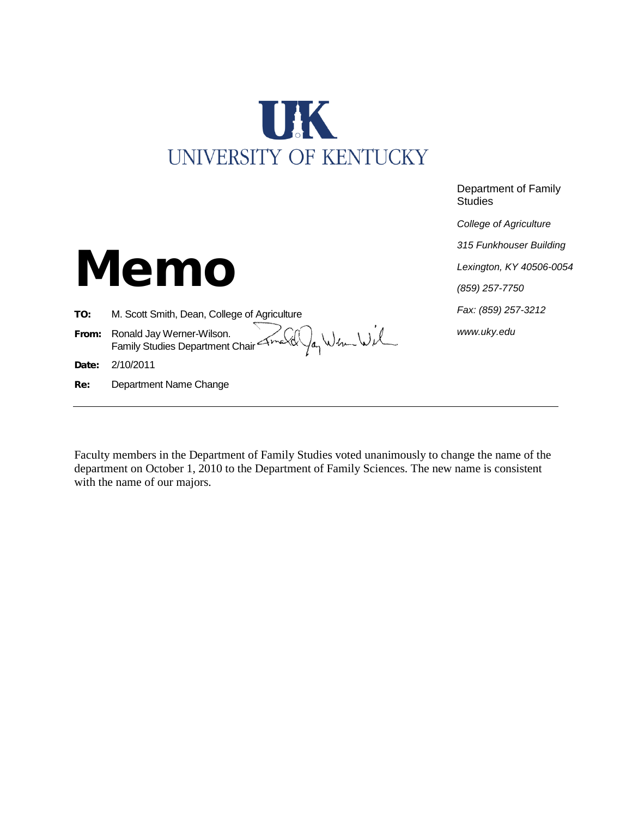

Department of Family **Studies** 

*College of Agriculture*

*315 Funkhouser Building*

*Lexington, KY 40506-0054*

*(859) 257-7750*

*Fax: (859) 257-3212*

*www.uky.edu*

Memo

TO: M. Scott Smith, Dean, College of Agriculture

From: Ronald Jay Werner-Wilson. All you can be a structure of the Company Studies Department Chair American production of the Union of the Union of the Union of the Union of the Union of the Union of the Union of the Union of the Union of the Union of th

Date: 2/10/2011

Re: Department Name Change

Faculty members in the Department of Family Studies voted unanimously to change the name of the department on October 1, 2010 to the Department of Family Sciences. The new name is consistent with the name of our majors.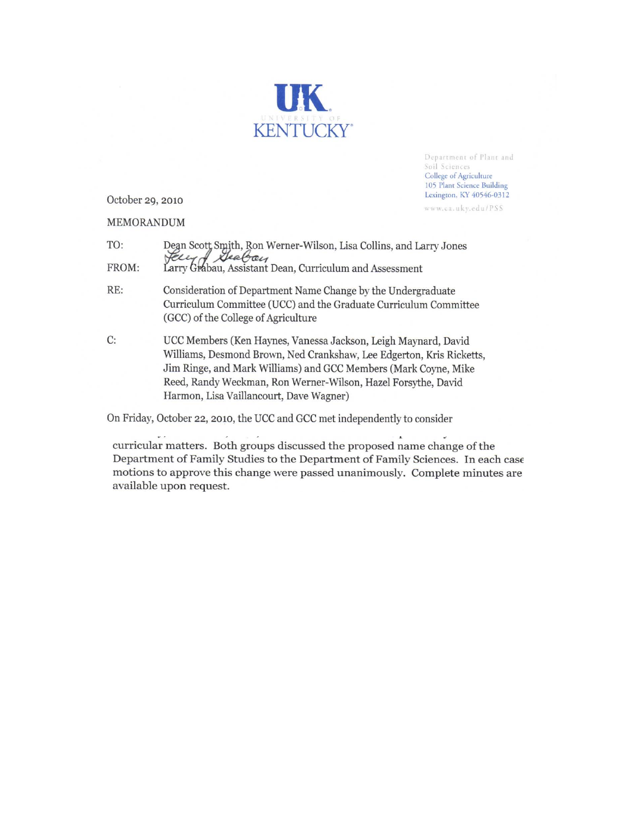

Department of Plant and Soil Sciences College of Agriculture 105 Plant Science Building Lexington, KY 40546-0312

www.ca.uky.edu/PSS

October 29, 2010

MEMORANDUM

| TO:   |                                                                                                                |
|-------|----------------------------------------------------------------------------------------------------------------|
| FROM: | Dean Scott Smith, Ron Werner-Wilson, Lisa Collins, and Larry Jones<br>Second Mealon, Curriculum and Assessment |

- RE: Consideration of Department Name Change by the Undergraduate Curriculum Committee (UCC) and the Graduate Curriculum Committee (GCC) of the College of Agriculture
- C: UCC Members (Ken Haynes, Vanessa Jackson, Leigh Maynard, David Williams, Desmond Brown, Ned Crankshaw, Lee Edgerton, Kris Ricketts, Jim Ringe, and Mark Williams) and GCC Members (Mark Coyne, Mike Reed, Randy Weckman, Ron Werner-Wilson, Hazel Forsythe, David Harmon, Lisa Vaillancourt, Dave Wagner)

On Friday, October 22, 2010, the UCC and GCC met independently to consider

curricular matters. Both groups discussed the proposed name change of the Department of Family Studies to the Department of Family Sciences. In each case motions to approve this change were passed unanimously. Complete minutes are available upon request.